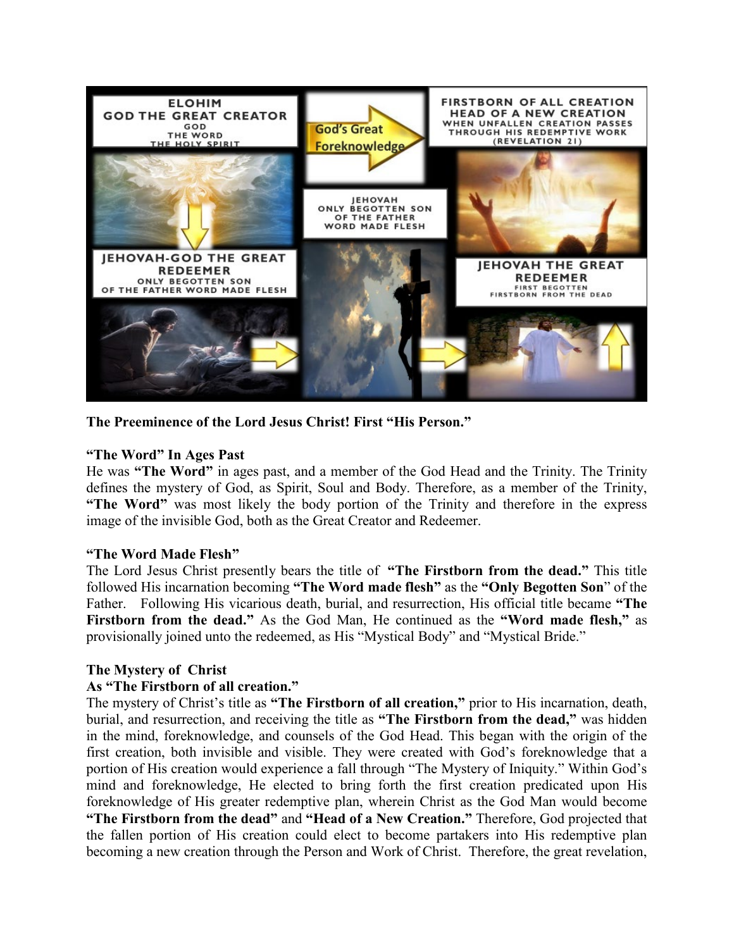

**The Preeminence of the Lord Jesus Christ! First "His Person."**

# **"The Word" In Ages Past**

He was **"The Word"** in ages past, and a member of the God Head and the Trinity. The Trinity defines the mystery of God, as Spirit, Soul and Body. Therefore, as a member of the Trinity, **"The Word"** was most likely the body portion of the Trinity and therefore in the express image of the invisible God, both as the Great Creator and Redeemer.

#### **"The Word Made Flesh"**

The Lord Jesus Christ presently bears the title of **"The Firstborn from the dead."** This title followed His incarnation becoming **"The Word made flesh"** as the **"Only Begotten Son**" of the Father. Following His vicarious death, burial, and resurrection, His official title became **"The Firstborn from the dead."** As the God Man, He continued as the **"Word made flesh,"** as provisionally joined unto the redeemed, as His "Mystical Body" and "Mystical Bride."

# **The Mystery of Christ**

### **As "The Firstborn of all creation."**

The mystery of Christ's title as **"The Firstborn of all creation,"** prior to His incarnation, death, burial, and resurrection, and receiving the title as **"The Firstborn from the dead,"** was hidden in the mind, foreknowledge, and counsels of the God Head. This began with the origin of the first creation, both invisible and visible. They were created with God's foreknowledge that a portion of His creation would experience a fall through "The Mystery of Iniquity." Within God's mind and foreknowledge, He elected to bring forth the first creation predicated upon His foreknowledge of His greater redemptive plan, wherein Christ as the God Man would become **"The Firstborn from the dead"** and **"Head of a New Creation."** Therefore, God projected that the fallen portion of His creation could elect to become partakers into His redemptive plan becoming a new creation through the Person and Work of Christ. Therefore, the great revelation,